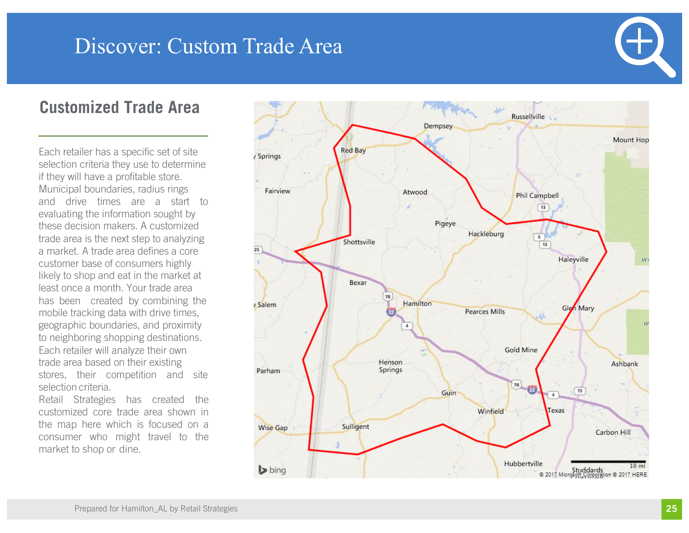### **Customized Trade Area**

Each retailer has a specific set of site selection criteria they use to determine if they will have a profitable store. Municipal boundaries, radius rings and drive times are <sup>a</sup> start to evaluating the information sought by these decision makers. A customized trade area is the next step to analyzing a market. A trade area defines a core customer base of consumers highly likely to shop and eat in the market at least once a month. Your trade area has been created by combining the mobile tracking data with drive times, geographic boundaries, and proximity to neighboring shopping destinations. Each retailer will analyze their own trade area based on their existing<br>stores, their competition and site selection criteria.

Retail Strategies has created the customized core trade area shown in the map here which is focused on a consumer who might travel to the market to shop or dine .

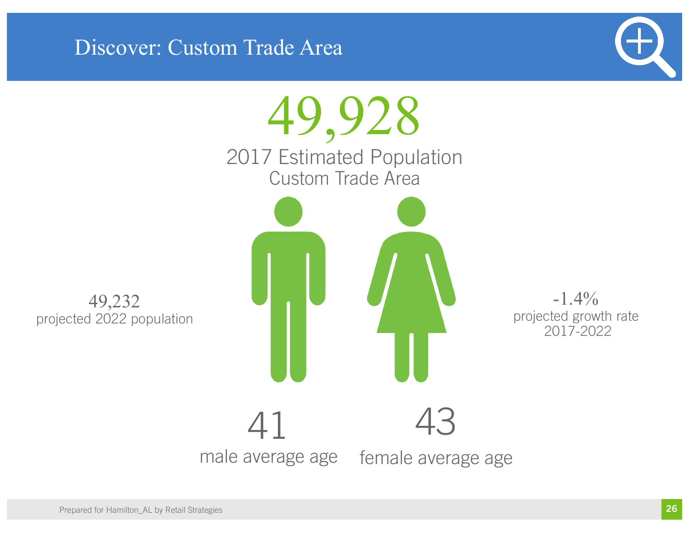

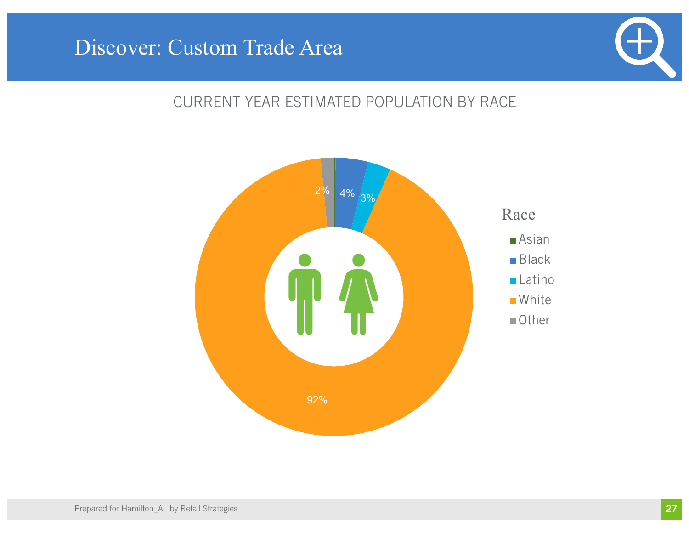

### CURRENT YEAR ESTIMATED POPULATION BY RACE

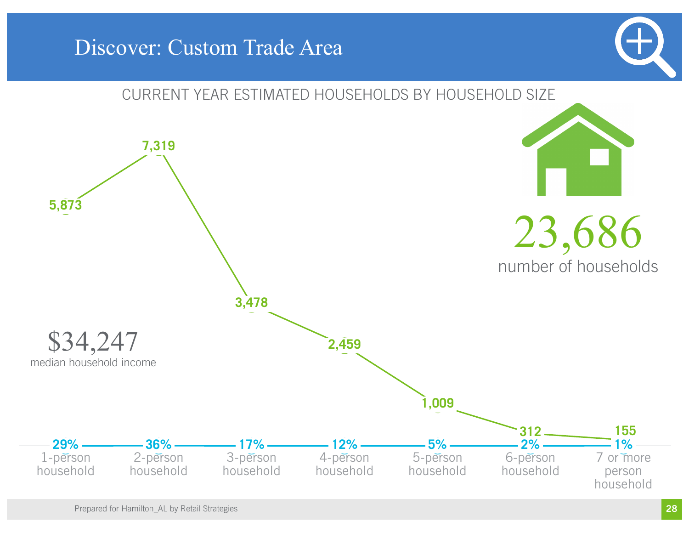

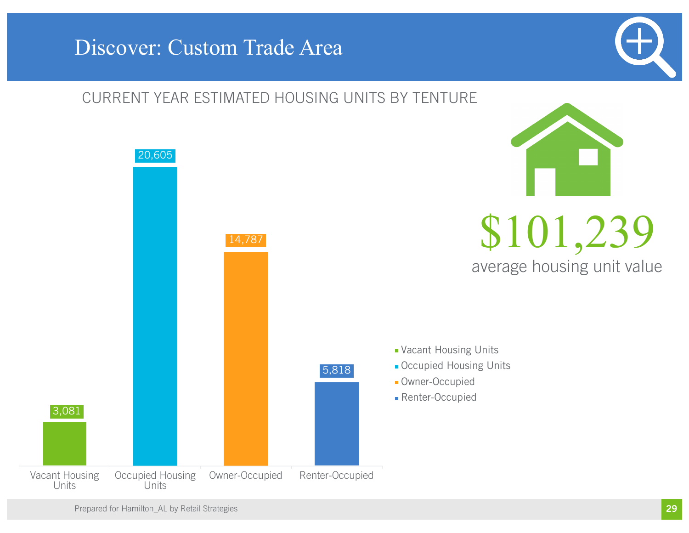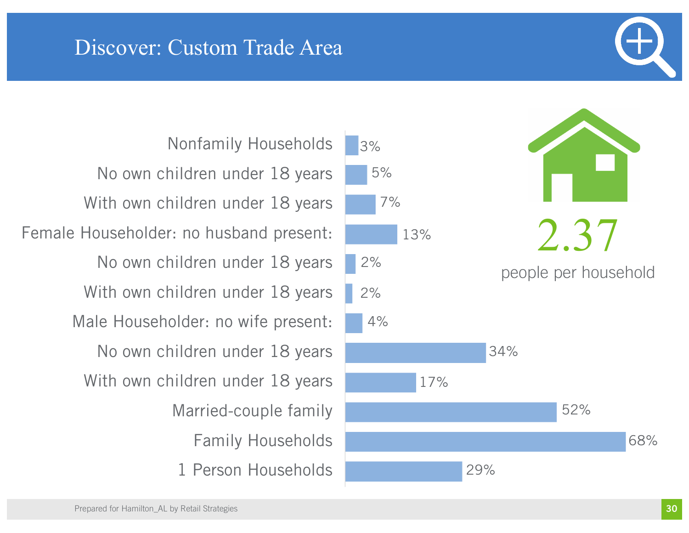1 Person Households Family Households Married-couple family With own children under 18 years No own children under 18 years Male Householder: no wife present: With own children under 18 years No own children under 18 years Female Householder: no husband present: With own children under 18 years No own children under 18 years Nonfamily Households

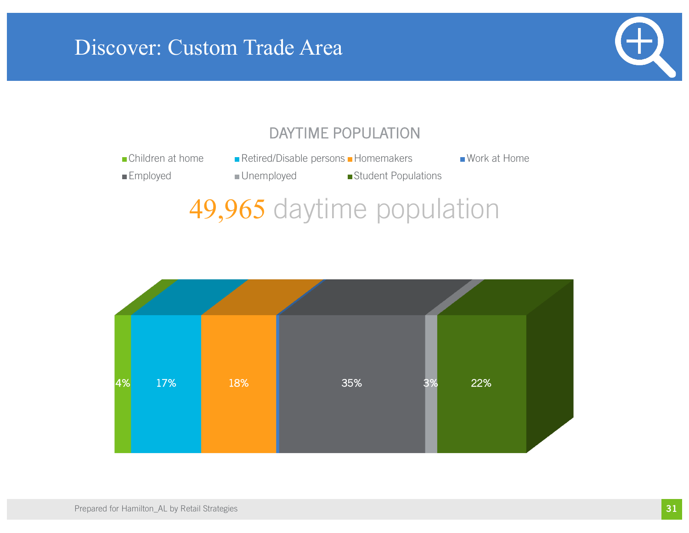

### DAYTIME POPULATION

- ■Children at home Retired/Disable persons Homemakers Work at Home
	-

- 
- Employed Unemployed Student Populations

# 49,965 daytime population

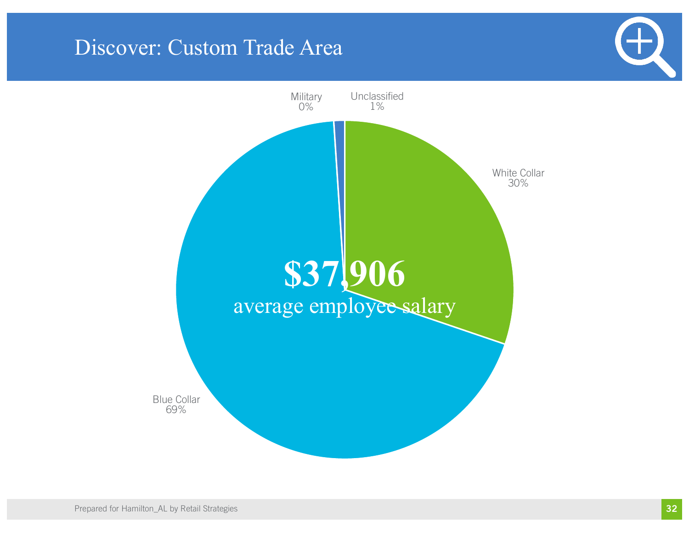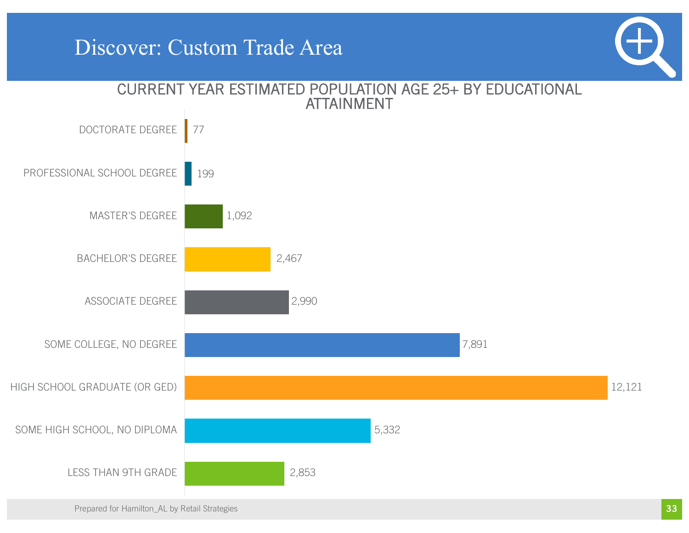